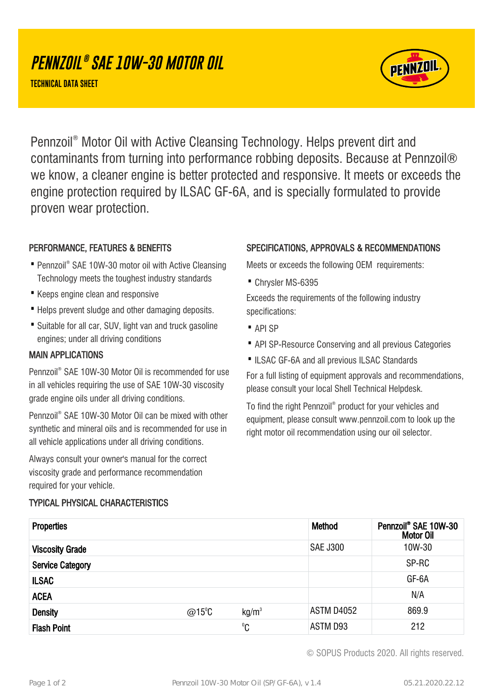# **PENNZOIL ® SAE 10W-30 MOTOR OIL**

**TECHNICAL DATA SHEET**



Pennzoil® Motor Oil with Active Cleansing Technology. Helps prevent dirt and contaminants from turning into performance robbing deposits. Because at Pennzoil® we know, a cleaner engine is better protected and responsive. It meets or exceeds the engine protection required by ILSAC GF-6A, and is specially formulated to provide proven wear protection.

## PERFORMANCE, FEATURES & BENEFITS

- Pennzoil® SAE 10W-30 motor oil with Active Cleansing Technology meets the toughest industry standards
- · Keeps engine clean and responsive
- · Helps prevent sludge and other damaging deposits.
- Suitable for all car, SUV, light van and truck gasoline engines; under all driving conditions

### MAIN APPLICATIONS

Pennzoil® SAE 10W-30 Motor Oil is recommended for use in all vehicles requiring the use of SAE 10W-30 viscosity grade engine oils under all driving conditions.

Pennzoil® SAE 10W-30 Motor Oil can be mixed with other synthetic and mineral oils and is recommended for use in all vehicle applications under all driving conditions.

Always consult your owner's manual for the correct viscosity grade and performance recommendation required for your vehicle.

## TYPICAL PHYSICAL CHARACTERISTICS

### SPECIFICATIONS, APPROVALS & RECOMMENDATIONS

Meets or exceeds the following OEM requirements:

· Chrysler MS-6395

Exceeds the requirements of the following industry specifications:

- · API SP
- · API SP-Resource Conserving and all previous Categories
- ·ILSAC GF-6A and all previous ILSAC Standards

For a full listing of equipment approvals and recommendations, please consult your local Shell Technical Helpdesk.

To find the right Pennzoil® product for your vehicles and equipment, please consult www.pennzoil.com to look up the right motor oil recommendation using our oil selector.

| <b>Properties</b>       |                  |                   | <b>Method</b>     | Pennzoil® SAE 10W-30<br><b>Motor Oil</b> |
|-------------------------|------------------|-------------------|-------------------|------------------------------------------|
| <b>Viscosity Grade</b>  |                  |                   | <b>SAE J300</b>   | 10W-30                                   |
| <b>Service Category</b> |                  |                   |                   | SP-RC                                    |
| <b>ILSAC</b>            |                  |                   |                   | GF-6A                                    |
| <b>ACEA</b>             |                  |                   |                   | N/A                                      |
| <b>Density</b>          | @15 $^{\circ}$ C | kg/m <sup>3</sup> | <b>ASTM D4052</b> | 869.9                                    |
| <b>Flash Point</b>      |                  | $^0C$             | ASTM D93          | 212                                      |

© SOPUS Products 2020. All rights reserved.